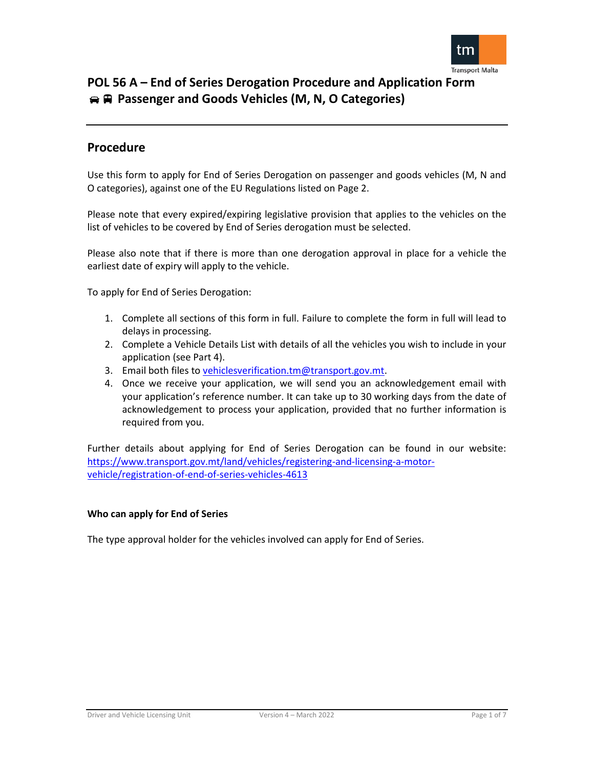

## **Procedure**

Use this form to apply for End of Series Derogation on passenger and goods vehicles (M, N and O categories), against one of the EU Regulations listed on Page 2.

Please note that every expired/expiring legislative provision that applies to the vehicles on the list of vehicles to be covered by End of Series derogation must be selected.

Please also note that if there is more than one derogation approval in place for a vehicle the earliest date of expiry will apply to the vehicle.

To apply for End of Series Derogation:

- 1. Complete all sections of this form in full. Failure to complete the form in full will lead to delays in processing.
- 2. Complete a Vehicle Details List with details of all the vehicles you wish to include in your application (see Part 4).
- 3. Email both files to [vehiclesverification.tm@transport.gov.mt.](mailto:vehiclesverification.tm@transport.gov.mt)
- 4. Once we receive your application, we will send you an acknowledgement email with your application's reference number. It can take up to 30 working days from the date of acknowledgement to process your application, provided that no further information is required from you.

Further details about applying for End of Series Derogation can be found in our website: [https://www.transport.gov.mt/land/vehicles/registering-and-licensing-a-motor](https://www.transport.gov.mt/land/vehicles/registering-and-licensing-a-motor-vehicle/registration-of-end-of-series-vehicles-4613)[vehicle/registration-of-end-of-series-vehicles-4613](https://www.transport.gov.mt/land/vehicles/registering-and-licensing-a-motor-vehicle/registration-of-end-of-series-vehicles-4613)

### **Who can apply for End of Series**

The type approval holder for the vehicles involved can apply for End of Series.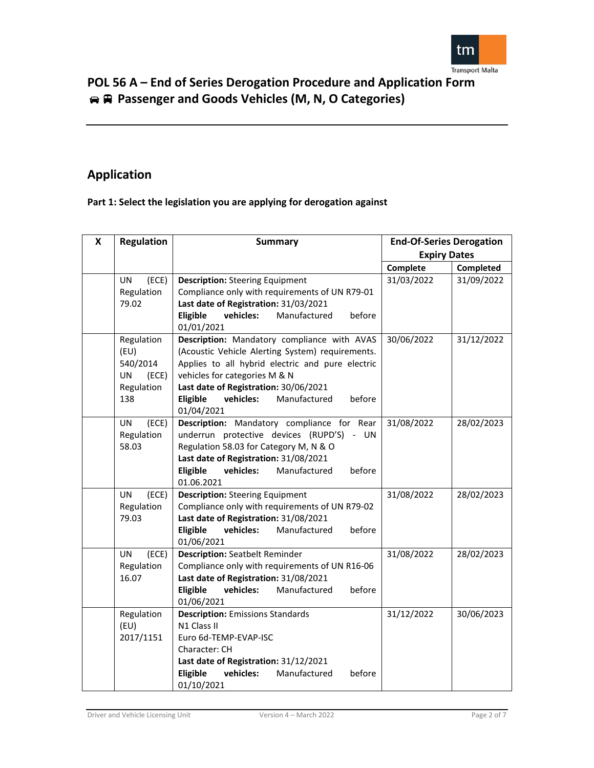

## **Application**

## **Part 1: Select the legislation you are applying for derogation against**

| X | <b>Regulation</b>  | <b>Summary</b>                                            | <b>End-Of-Series Derogation</b><br><b>Expiry Dates</b> |            |
|---|--------------------|-----------------------------------------------------------|--------------------------------------------------------|------------|
|   |                    |                                                           |                                                        |            |
|   |                    |                                                           | Complete                                               | Completed  |
|   | (ECE)<br><b>UN</b> | <b>Description:</b> Steering Equipment                    | 31/03/2022                                             | 31/09/2022 |
|   | Regulation         | Compliance only with requirements of UN R79-01            |                                                        |            |
|   | 79.02              | Last date of Registration: 31/03/2021                     |                                                        |            |
|   |                    | Eligible<br>vehicles:<br>Manufactured<br>before           |                                                        |            |
|   | Regulation         | 01/01/2021<br>Description: Mandatory compliance with AVAS | 30/06/2022                                             | 31/12/2022 |
|   | (EU)               | (Acoustic Vehicle Alerting System) requirements.          |                                                        |            |
|   | 540/2014           | Applies to all hybrid electric and pure electric          |                                                        |            |
|   | UN<br>(ECE)        | vehicles for categories M & N                             |                                                        |            |
|   | Regulation         | Last date of Registration: 30/06/2021                     |                                                        |            |
|   | 138                | Eligible<br>vehicles:<br>Manufactured<br>before           |                                                        |            |
|   |                    | 01/04/2021                                                |                                                        |            |
|   | (ECE)<br>UN        | Description: Mandatory compliance for Rear                | 31/08/2022                                             | 28/02/2023 |
|   | Regulation         | underrun protective devices (RUPD'S) - UN                 |                                                        |            |
|   | 58.03              | Regulation 58.03 for Category M, N & O                    |                                                        |            |
|   |                    | Last date of Registration: 31/08/2021                     |                                                        |            |
|   |                    | Eligible<br>vehicles:<br>Manufactured<br>before           |                                                        |            |
|   | (ECE)<br><b>UN</b> | 01.06.2021<br><b>Description: Steering Equipment</b>      | 31/08/2022                                             | 28/02/2023 |
|   | Regulation         | Compliance only with requirements of UN R79-02            |                                                        |            |
|   | 79.03              | Last date of Registration: 31/08/2021                     |                                                        |            |
|   |                    | Eligible<br>vehicles:<br>Manufactured<br>before           |                                                        |            |
|   |                    | 01/06/2021                                                |                                                        |            |
|   | <b>UN</b><br>(ECE) | <b>Description: Seatbelt Reminder</b>                     | 31/08/2022                                             | 28/02/2023 |
|   | Regulation         | Compliance only with requirements of UN R16-06            |                                                        |            |
|   | 16.07              | Last date of Registration: 31/08/2021                     |                                                        |            |
|   |                    | Eligible<br>vehicles:<br>Manufactured<br>before           |                                                        |            |
|   |                    | 01/06/2021                                                |                                                        |            |
|   | Regulation         | <b>Description:</b> Emissions Standards                   | 31/12/2022                                             | 30/06/2023 |
|   | (EU)<br>2017/1151  | N1 Class II<br>Euro 6d-TEMP-EVAP-ISC                      |                                                        |            |
|   |                    | Character: CH                                             |                                                        |            |
|   |                    | Last date of Registration: 31/12/2021                     |                                                        |            |
|   |                    | Eligible<br>vehicles:<br>Manufactured<br>before           |                                                        |            |
|   |                    | 01/10/2021                                                |                                                        |            |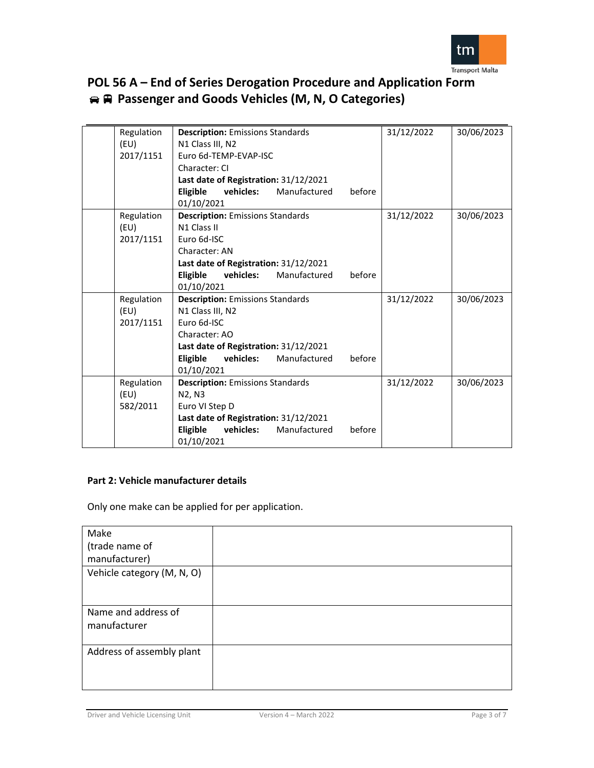

| Regulation | <b>Description:</b> Emissions Standards                | 31/12/2022 | 30/06/2023 |
|------------|--------------------------------------------------------|------------|------------|
| (EU)       | N1 Class III, N2                                       |            |            |
| 2017/1151  | Euro 6d-TEMP-EVAP-ISC                                  |            |            |
|            | Character: CI                                          |            |            |
|            | Last date of Registration: 31/12/2021                  |            |            |
|            | vehicles:<br>Manufactured<br>before<br><b>Eligible</b> |            |            |
|            | 01/10/2021                                             |            |            |
| Regulation | <b>Description:</b> Emissions Standards                | 31/12/2022 | 30/06/2023 |
| (EU)       | N1 Class II                                            |            |            |
| 2017/1151  | Euro 6d-ISC                                            |            |            |
|            | Character: AN                                          |            |            |
|            | Last date of Registration: 31/12/2021                  |            |            |
|            | before<br>Eligible<br>vehicles:<br>Manufactured        |            |            |
|            | 01/10/2021                                             |            |            |
| Regulation | <b>Description:</b> Emissions Standards                | 31/12/2022 | 30/06/2023 |
| (EU)       | N1 Class III, N2                                       |            |            |
| 2017/1151  | Euro 6d-ISC                                            |            |            |
|            | Character: AO                                          |            |            |
|            | Last date of Registration: 31/12/2021                  |            |            |
|            | before<br>Eligible<br>vehicles:<br>Manufactured        |            |            |
|            | 01/10/2021                                             |            |            |
| Regulation | <b>Description:</b> Emissions Standards                | 31/12/2022 | 30/06/2023 |
| (EU)       | N2, N3                                                 |            |            |
| 582/2011   | Euro VI Step D                                         |            |            |
|            | Last date of Registration: 31/12/2021                  |            |            |
|            | Eligible<br>Manufactured<br>vehicles:<br>before        |            |            |
|            | 01/10/2021                                             |            |            |

### **Part 2: Vehicle manufacturer details**

Only one make can be applied for per application.

| Make                       |  |
|----------------------------|--|
| (trade name of             |  |
| manufacturer)              |  |
| Vehicle category (M, N, O) |  |
|                            |  |
|                            |  |
| Name and address of        |  |
| manufacturer               |  |
|                            |  |
| Address of assembly plant  |  |
|                            |  |
|                            |  |
|                            |  |

Driver and Vehicle Licensing Unit Version 4 – March 2022 Page 3 of 7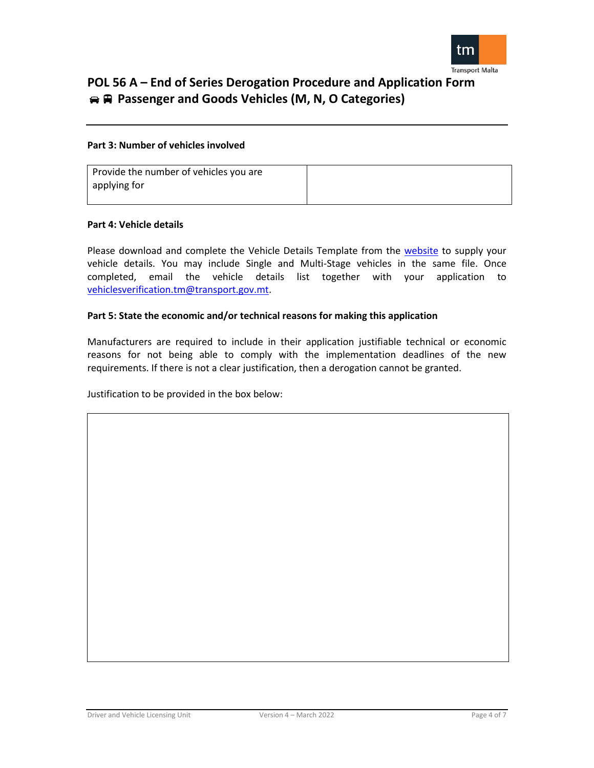

### **Part 3: Number of vehicles involved**

| Provide the number of vehicles you are |  |
|----------------------------------------|--|
| applying for                           |  |
|                                        |  |

### **Part 4: Vehicle details**

Please download and complete the Vehicle Details Template from the [website](https://www.transport.gov.mt/land/vehicles/registering-and-licensing-a-motor-vehicle/registration-of-end-of-series-vehicles-4613) to supply your vehicle details. You may include Single and Multi-Stage vehicles in the same file. Once completed, email the vehicle details list together with your application to [vehiclesverification.tm@transport.gov.mt.](mailto:vehiclesverification.tm@transport.gov.mt)

### **Part 5: State the economic and/or technical reasons for making this application**

Manufacturers are required to include in their application justifiable technical or economic reasons for not being able to comply with the implementation deadlines of the new requirements. If there is not a clear justification, then a derogation cannot be granted.

Justification to be provided in the box below: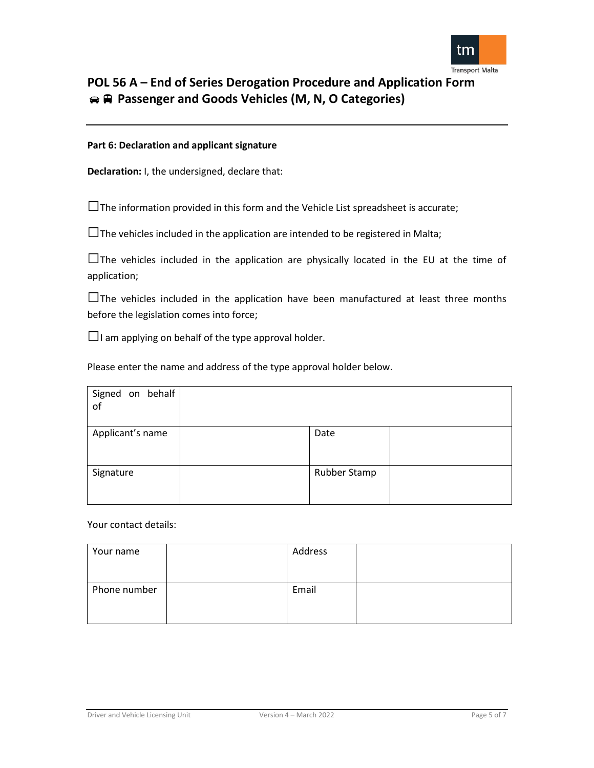

### **Part 6: Declaration and applicant signature**

**Declaration:** I, the undersigned, declare that:

 $\square$  The information provided in this form and the Vehicle List spreadsheet is accurate;

 $\square$  The vehicles included in the application are intended to be registered in Malta;

 $\square$  The vehicles included in the application are physically located in the EU at the time of application;

 $\square$ The vehicles included in the application have been manufactured at least three months before the legislation comes into force;

 $\Box$ I am applying on behalf of the type approval holder.

Please enter the name and address of the type approval holder below.

| Signed on behalf<br>of |              |  |
|------------------------|--------------|--|
| Applicant's name       | Date         |  |
| Signature              | Rubber Stamp |  |

Your contact details:

| Address |  |
|---------|--|
|         |  |
|         |  |
| Email   |  |
|         |  |
|         |  |
|         |  |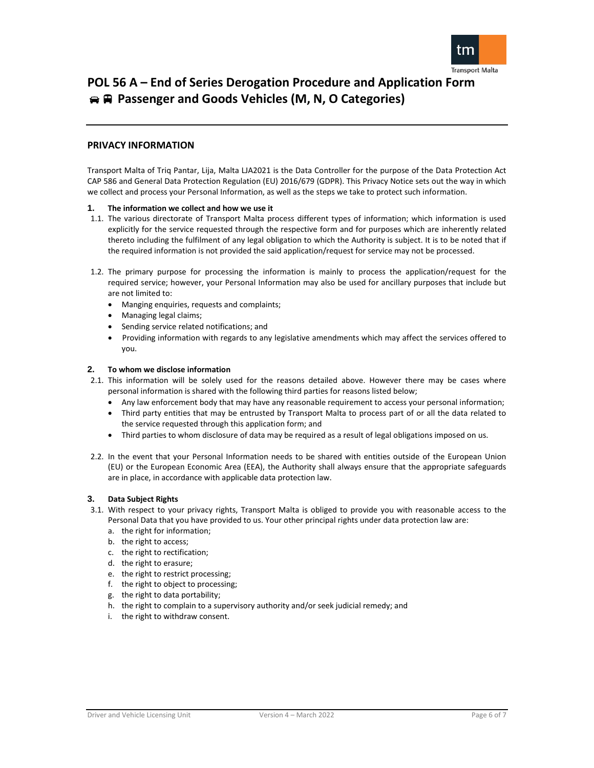

### **PRIVACY INFORMATION**

Transport Malta of Triq Pantar, Lija, Malta LJA2021 is the Data Controller for the purpose of the Data Protection Act CAP 586 and General Data Protection Regulation (EU) 2016/679 (GDPR). This Privacy Notice sets out the way in which we collect and process your Personal Information, as well as the steps we take to protect such information.

#### **1. The information we collect and how we use it**

- 1.1. The various directorate of Transport Malta process different types of information; which information is used explicitly for the service requested through the respective form and for purposes which are inherently related thereto including the fulfilment of any legal obligation to which the Authority is subject. It is to be noted that if the required information is not provided the said application/request for service may not be processed.
- 1.2. The primary purpose for processing the information is mainly to process the application/request for the required service; however, your Personal Information may also be used for ancillary purposes that include but are not limited to:
	- Manging enquiries, requests and complaints;
	- Managing legal claims;
	- Sending service related notifications; and
	- Providing information with regards to any legislative amendments which may affect the services offered to you.

#### **2. To whom we disclose information**

- 2.1. This information will be solely used for the reasons detailed above. However there may be cases where personal information is shared with the following third parties for reasons listed below;
	- Any law enforcement body that may have any reasonable requirement to access your personal information;
	- Third party entities that may be entrusted by Transport Malta to process part of or all the data related to the service requested through this application form; and
	- Third parties to whom disclosure of data may be required as a result of legal obligations imposed on us.
- 2.2. In the event that your Personal Information needs to be shared with entities outside of the European Union (EU) or the European Economic Area (EEA), the Authority shall always ensure that the appropriate safeguards are in place, in accordance with applicable data protection law.

#### **3. Data Subject Rights**

- 3.1. With respect to your privacy rights, Transport Malta is obliged to provide you with reasonable access to the Personal Data that you have provided to us. Your other principal rights under data protection law are:
	- a. the right for information;
	- b. the right to access;
	- c. the right to rectification;
	- d. the right to erasure;
	- e. the right to restrict processing;
	- f. the right to object to processing;
	- g. the right to data portability;
	- h. the right to complain to a supervisory authority and/or seek judicial remedy; and
	- i. the right to withdraw consent.